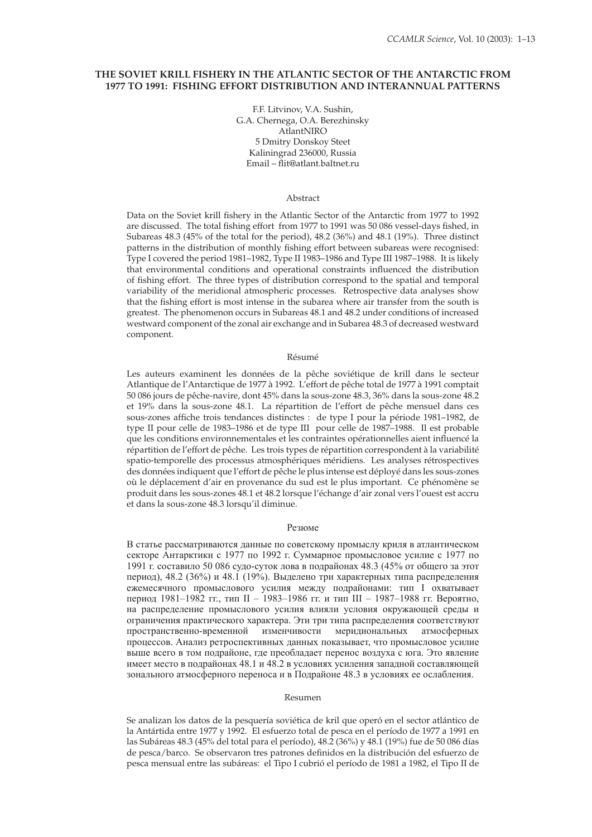# **THE SOVIET KRILL FISHERY IN THE ATLANTIC SECTOR OF THE ANTARCTIC FROM 1977 TO 1991: FISHING EFFORT DISTRIBUTION AND INTERANNUAL PATTERNS**

F.F. Litvinov, V.A. Sushin, G.A. Chernega, O.A. Berezhinsky AtlantNIRO 5 Dmitry Donskoy Steet Kaliningrad 236000, Russia Email – flit@atlant.baltnet.ru

### Abstract

Data on the Soviet krill fishery in the Atlantic Sector of the Antarctic from 1977 to 1992 are discussed. The total fishing effort from 1977 to 1991 was 50 086 vessel-days fished, in Subareas 48.3 (45% of the total for the period), 48.2 (36%) and 48.1 (19%). Three distinct patterns in the distribution of monthly fishing effort between subareas were recognised: Type I covered the period 1981–1982, Type II 1983–1986 and Type III 1987–1988. It is likely that environmental conditions and operational constraints influenced the distribution of fishing effort. The three types of distribution correspond to the spatial and temporal variability of the meridional atmospheric processes. Retrospective data analyses show that the fishing effort is most intense in the subarea where air transfer from the south is greatest. The phenomenon occurs in Subareas 48.1 and 48.2 under conditions of increased westward component of the zonal air exchange and in Subarea 48.3 of decreased westward component.

#### Résumé

Les auteurs examinent les données de la pêche soviétique de krill dans le secteur Atlantique de l'Antarctique de 1977 à 1992. L'effort de pêche total de 1977 à 1991 comptait 50 086 jours de pêche-navire, dont 45% dans la sous-zone 48.3, 36% dans la sous-zone 48.2 et 19% dans la sous-zone 48.1. La répartition de l'effort de pêche mensuel dans ces sous-zones affiche trois tendances distinctes : de type I pour la période 1981-1982, de type II pour celle de 1983–1986 et de type III pour celle de 1987–1988. Il est probable que les conditions environnementales et les contraintes opérationnelles aient influencé la répartition de l'effort de pêche. Les trois types de répartition correspondent à la variabilité spatio-temporelle des processus atmosphériques méridiens. Les analyses rétrospectives des données indiquent que l'effort de pêche le plus intense est déployé dans les sous-zones où le déplacement d'air en provenance du sud est le plus important. Ce phénomène se produit dans les sous-zones 48.1 et 48.2 lorsque l'échange d'air zonal vers l'ouest est accru et dans la sous-zone 48.3 lorsqu'il diminue.

#### Резюме

В статье рассматриваются данные по советскому промыслу криля в атлантическом секторе Антарктики с 1977 по 1992 г. Суммарное промысловое усилие с 1977 по 1991 г. составило 50 086 судо-суток лова в подрайонах 48.3 (45% от общего за этот период), 48.2 (36%) и 48.1 (19%). Выделено три характерных типа распределения ежемесячного промыслового усилия между подрайонами: тип I охватывает период 1981–1982 гг., тип II – 1983–1986 гг. и тип III – 1987–1988 гг. Вероятно, на распределение промыслового усилия влияли условия окружающей среды и ограничения практического характера. Эти три типа распределения соответствуют пространственно-временной изменчивости меридиональных атмосферных процессов. Анализ ретроспективных данных показывает, что промысловое усилие выше всего в том подрайоне, где преобладает перенос воздуха с юга. Это явление имеет место в подрайонах 48.1 и 48.2 в условиях усиления западной составляющей зонального атмосферного переноса и в Подрайоне 48.3 в условиях ее ослабления.

#### Resumen

Se analizan los datos de la pesquería soviética de kril que operó en el sector atlántico de la Antártida entre 1977 y 1992. El esfuerzo total de pesca en el período de 1977 a 1991 en las Subáreas 48.3 (45% del total para el período), 48.2 (36%) y 48.1 (19%) fue de 50 086 días de pesca/barco. Se observaron tres patrones definidos en la distribución del esfuerzo de pesca mensual entre las subáreas: el Tipo I cubrió el período de 1981 a 1982, el Tipo II de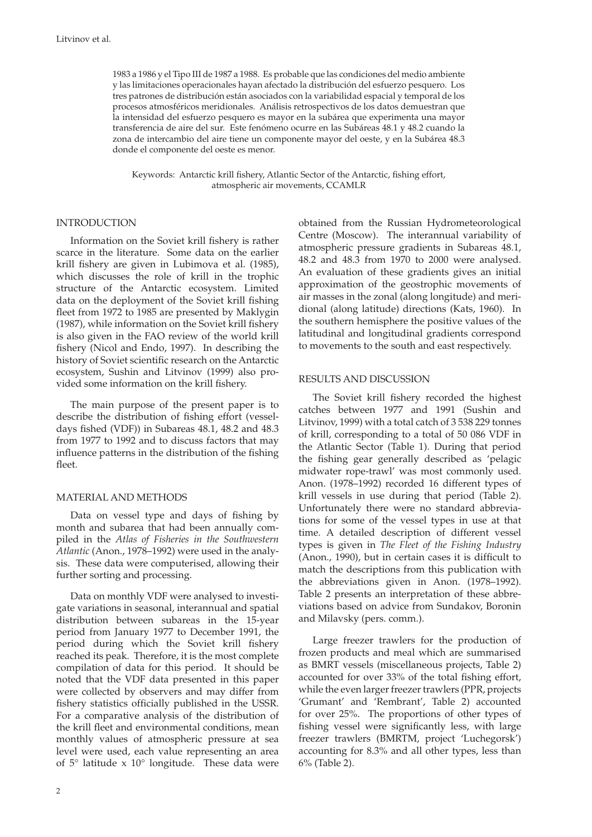1983 a 1986 y el Tipo III de 1987 a 1988. Es probable que las condiciones del medio ambiente y las limitaciones operacionales hayan afectado la distribución del esfuerzo pesquero. Los tres patrones de distribución están asociados con la variabilidad espacial y temporal de los procesos atmosféricos meridionales. Análisis retrospectivos de los datos demuestran que la intensidad del esfuerzo pesquero es mayor en la subárea que experimenta una mayor transferencia de aire del sur. Este fenómeno ocurre en las Subáreas 48.1 y 48.2 cuando la zona de intercambio del aire tiene un componente mayor del oeste, y en la Subárea 48.3 donde el componente del oeste es menor.

Keywords: Antarctic krill fishery, Atlantic Sector of the Antarctic, fishing effort, atmospheric air movements, CCAMLR

# INTRODUCTION

Information on the Soviet krill fishery is rather scarce in the literature. Some data on the earlier krill fishery are given in Lubimova et al. (1985), which discusses the role of krill in the trophic structure of the Antarctic ecosystem. Limited data on the deployment of the Soviet krill fishing fleet from 1972 to 1985 are presented by Maklygin (1987), while information on the Soviet krill fishery is also given in the FAO review of the world krill fishery (Nicol and Endo, 1997). In describing the history of Soviet scientific research on the Antarctic ecosystem, Sushin and Litvinov (1999) also provided some information on the krill fishery.

The main purpose of the present paper is to describe the distribution of fishing effort (vesseldays fished (VDF)) in Subareas 48.1, 48.2 and 48.3 from 1977 to 1992 and to discuss factors that may influence patterns in the distribution of the fishing fleet.

# MATERIAL AND METHODS

Data on vessel type and days of fishing by month and subarea that had been annually compiled in the *Atlas of Fisheries in the Southwestern Atlantic* (Anon., 1978–1992) were used in the analysis. These data were computerised, allowing their further sorting and processing.

Data on monthly VDF were analysed to investigate variations in seasonal, interannual and spatial distribution between subareas in the 15-year period from January 1977 to December 1991, the period during which the Soviet krill fishery reached its peak. Therefore, it is the most complete compilation of data for this period. It should be noted that the VDF data presented in this paper were collected by observers and may differ from fishery statistics officially published in the USSR. For a comparative analysis of the distribution of the krill fleet and environmental conditions, mean monthly values of atmospheric pressure at sea level were used, each value representing an area of 5° latitude x 10° longitude. These data were obtained from the Russian Hydrometeorological Centre (Moscow). The interannual variability of atmospheric pressure gradients in Subareas 48.1, 48.2 and 48.3 from 1970 to 2000 were analysed. An evaluation of these gradients gives an initial approximation of the geostrophic movements of air masses in the zonal (along longitude) and meridional (along latitude) directions (Kats, 1960). In the southern hemisphere the positive values of the latitudinal and longitudinal gradients correspond to movements to the south and east respectively.

## RESULTS AND DISCUSSION

The Soviet krill fishery recorded the highest catches between 1977 and 1991 (Sushin and Litvinov, 1999) with a total catch of 3 538 229 tonnes of krill, corresponding to a total of 50 086 VDF in the Atlantic Sector (Table 1). During that period the fishing gear generally described as 'pelagic midwater rope-trawl' was most commonly used. Anon. (1978–1992) recorded 16 different types of krill vessels in use during that period (Table 2). Unfortunately there were no standard abbreviations for some of the vessel types in use at that time. A detailed description of different vessel types is given in *The Fleet of the Fishing Industry*   $($ Anon., 1990 $)$ , but in certain cases it is difficult to match the descriptions from this publication with the abbreviations given in Anon. (1978–1992). Table 2 presents an interpretation of these abbreviations based on advice from Sundakov, Boronin and Milavsky (pers. comm.).

Large freezer trawlers for the production of frozen products and meal which are summarised as BMRT vessels (miscellaneous projects, Table 2) accounted for over 33% of the total fishing effort, while the even larger freezer trawlers (PPR, projects 'Grumant' and 'Rembrant', Table 2) accounted for over 25%. The proportions of other types of fishing vessel were significantly less, with large freezer trawlers (BMRTM, project 'Luchegorsk') accounting for 8.3% and all other types, less than 6% (Table 2).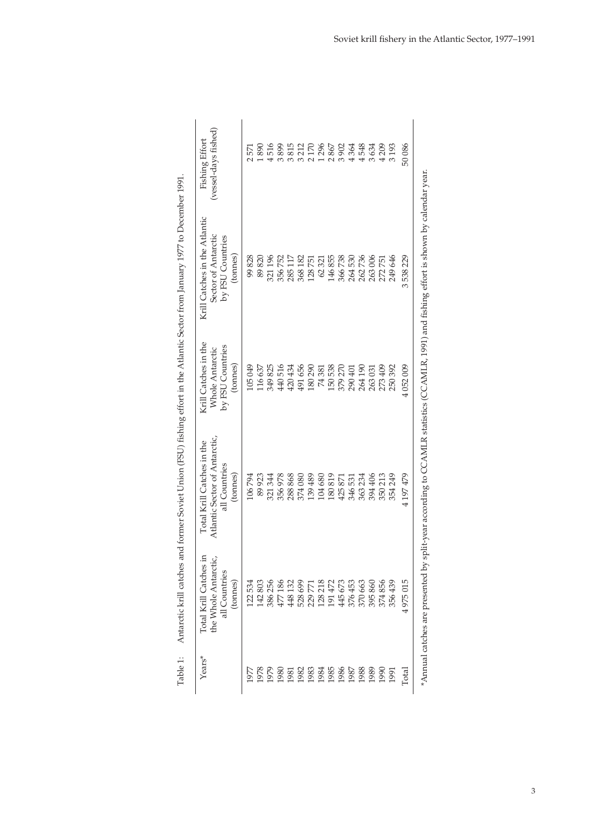|                                                                                                                                | (vessel-days fished)<br>Fishing Effort                                                   | 571                 | 890     | 516     | 3899   | 3815                 | 3212    | 2170                                                    | 1296   | 2867   | 3902   | 4364    | 4548                 | 3634    | 4209    | 3193       | 50086          |  |
|--------------------------------------------------------------------------------------------------------------------------------|------------------------------------------------------------------------------------------|---------------------|---------|---------|--------|----------------------|---------|---------------------------------------------------------|--------|--------|--------|---------|----------------------|---------|---------|------------|----------------|--|
| Antarctic krill catches and former Soviet Union (FSU) fishing effort in the Atlantic Sector from January 1977 to December 1991 | Krill Catches in the Atlantic<br>Sector of Antarctic<br>by FSU Countries<br>(tonnes)     | 99828               | 89820   | 321196  | 356752 | 285 117              | 368 182 | 128751                                                  | 62321  | 146855 | 366738 | 264530  | 262736               | 263006  | 272751  | 249 646    | 3538229        |  |
|                                                                                                                                | Krill Catches in the<br>by FSU Countries<br>Whole Antarctic<br>(tonnes)                  | LO5049              | 116 637 | 349 825 | 440516 | 420 434              | 491656  | 180290                                                  | 74381  | 150538 | 379270 | 290 401 | 264 190              | 263031  | 273 409 | 250392     | 4052009        |  |
|                                                                                                                                | Atlantic Sector of Antarctic,<br>Total Krill Catches in the<br>all Countries<br>(tonnes) | 106794              | 89923   | 321 344 | 356978 | 288868               | 374080  | 139489                                                  | 104680 | 180819 | 425871 | 346 531 | 363234               | 394 406 | 350 213 | 354249     | 4197479        |  |
|                                                                                                                                | Total Krill Catches in<br>the Whole Antarctic,<br>all Countries<br>(tonnes)              | L <sub>22</sub> 534 | 142803  | 386 256 | 477186 | $\frac{2}{3}$<br>448 |         | 528 699<br>229 771<br>229 218<br>128 445 673<br>445 673 |        |        |        | 376 453 | 370 663              | 395860  | 374856  | 439<br>356 | 4975015        |  |
| Table 1:                                                                                                                       | $\chi_{\rm ears}$ *                                                                      | 1977                |         |         |        |                      |         |                                                         |        |        |        |         | $288888888888888555$ |         |         |            | $_{\rm Total}$ |  |

| ۱             |  |
|---------------|--|
|               |  |
|               |  |
|               |  |
|               |  |
|               |  |
|               |  |
| ļ<br>I        |  |
|               |  |
|               |  |
| l             |  |
|               |  |
| ļ             |  |
|               |  |
|               |  |
|               |  |
|               |  |
| $\frac{1}{2}$ |  |
|               |  |
|               |  |
|               |  |
|               |  |
|               |  |
|               |  |
|               |  |
|               |  |
|               |  |
| j             |  |
|               |  |
|               |  |
|               |  |
|               |  |
|               |  |
|               |  |
| ֦             |  |
|               |  |
| l             |  |
|               |  |
| j<br>١        |  |
|               |  |
|               |  |
|               |  |
| j             |  |
|               |  |
|               |  |
|               |  |
|               |  |
|               |  |
|               |  |
|               |  |
| I             |  |
|               |  |
|               |  |
|               |  |
|               |  |
|               |  |
|               |  |
|               |  |
|               |  |
|               |  |
| Į             |  |
|               |  |
| į             |  |
| i<br>j        |  |
|               |  |
|               |  |
| i             |  |
|               |  |
| Table:<br>Ė   |  |

\*Annual catches are presented by split-year according to CCAMLR statistics (CCAMLR, 1991) and fishing effort is shown by calendar year. \*Annual catches are presented by split-year according to CCAMLR statistics (CCAMLR, 1991) and fishing effort is shown by calendar year.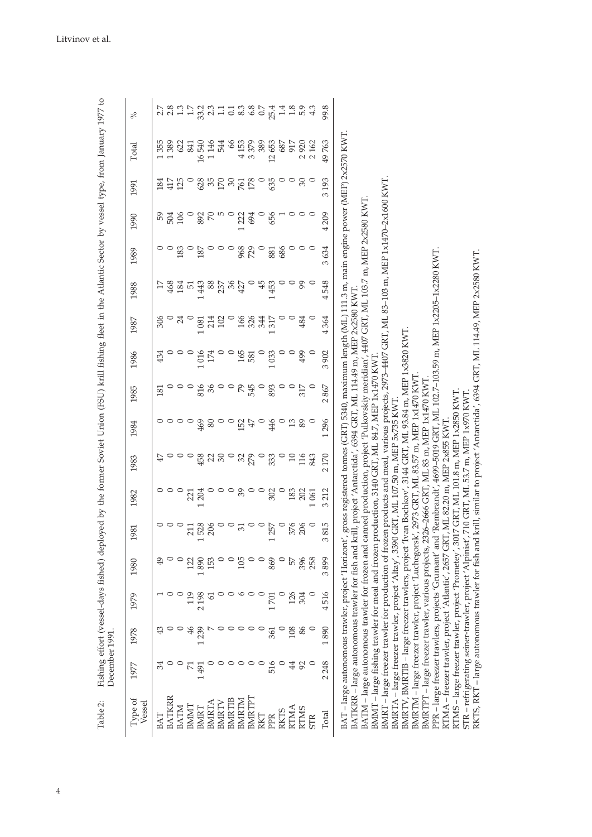| BAT – large autonomous trawler, project 'Horizont', gross registered tonnes (GRT) 5340, maximum length (ML) 111.3 m, main engine power (MEP) 2x2570 KWT<br>BMRT-large freezer trawler for production of frozen products and meal, various projects, 2973-4407 GRT, ML 83-103 m, MEP 1x1470-2x1600 KWT.<br>canned production, project 'Pulkovskiy meridian', 4407 GRT, ML 103.7 m, MEP 2x2580 KWT<br>106<br>892<br>$\mathbb{R}$<br>ro o<br>656<br>4209<br>59<br>504<br>1222<br>694<br>$\circ$<br>$\circ$<br>729<br>686<br>3634<br>183<br>187<br>968<br>881<br>PPR – large freezer trawlers, projects 'Grumant' and 'Rembrandt', 4699–5019 GRT, ML 102.7–103.59 m, MEP 1x2205–1x2280 KWT.<br>88<br>237<br>36<br>45<br>$\circ$<br>99<br>4548<br>468<br>184<br>443<br>453<br>427<br>51<br>krill, project 'Antarctida', 6394 GRT, ML 114.49 m, MEP 2x2580 KWT<br>306<br>102<br>$\cup$<br>166<br>326<br>$\circ$<br>4364<br>24<br>214<br>344<br>317<br>484<br>1081<br>BMRTV, BMRTIB – large freezer trawlers, project 'Ivan Bochkov', 3144 GRT, ML 93.84 m, MEP 1x3820 KWT<br>165<br>$\circ$<br>3902<br>174<br>499<br>1016<br>033<br>434<br>581<br>production, 3140 GRT, ML 84.7, MEP 1x1470 KW7<br>BMRTM - large freezer trawler, project 'Luchegorsk', 2973 GRT, ML 83.57 m, MEP 1x1470 KWT.<br>2326-2666 GRT, ML 83 m, MEP 1x1470 KWT<br>$\circ$<br>$\circ$<br>36<br>$\circ$<br>$\circ$<br>$\mathcal{P}^{\mathcal{S}}$<br>545<br>$\circ$<br>$\circ$<br>$\circ$<br>2867<br>816<br>893<br>317<br>181<br>3017 GRT, ML 101.8 m, MEP 1x2850 KWT<br>STR - refrigerating seiner-trawler, project 'Alpinist', 710 GRT, ML 53.7 m, MEP 1x970 KWT<br>BMRTA - large freezer trawler, project 'Altay', 3390 GRT, ML 107.50 m, MEP 5x735 KWT.<br>1296<br>RTMA - freezer trawler, project 'Atlantic', 2657 GRT, ML 82.20 m, MEP 2x855 KWT.<br>89<br>469<br>$80\,$<br>$\circ$<br>$\circ$<br>$47\,$<br>$\circ$<br>446<br>$\circ$<br>$13$<br>$\circ$<br>152<br>$\circ$<br>458<br>$\Im 0$<br>32<br>279<br>$\circ$<br>$\Box$<br>116<br>2170<br>$\circ$<br>$\mathfrak{A}$<br>333<br>843<br>$\mathcal{E}$<br>$\circ$<br>$\circ$<br>$\circ$<br>183<br>3212<br>$\circ$<br>$\circ$<br>202<br>302<br>204<br>061<br>221<br>$\circ$<br>815<br>206<br>$\circ$<br>$\circ$<br>257<br>528<br>376<br>206<br>$\overline{31}$<br>211<br>3<br>BATKRR - large autonomous trawler for fish and<br>BATM – large autonomous trawler for frozen and<br>BMMT – large fishing trawler for meal and frozen<br>BMRTPT-large freezer trawler, various projects,<br>RTMS - large freezer trawler, project 'Prometey',<br>3899<br>869<br>396<br>1890<br>153<br>105<br>258<br>57<br>122<br>4516<br>126<br>304<br>119<br>2198<br>1701<br>6<br>1890<br>86<br>108<br>239<br>361<br>2248<br>○<br>516<br>92<br>49<br><b>BMRTPT</b><br><b>BATKRR</b><br><b>BMRTIB</b><br><b>BMRTM</b><br><b>BMRTA</b><br>BMRTV<br>Vessel<br><b>BATM</b><br>BMMT<br><b>RTMA</b><br><b>BMRT</b><br><b>RTMS</b><br><b>RKTS</b><br>Total<br>BAT<br>RKT<br>PPR<br><b>STR</b> | Type of | 1977 | 1978 | 1979 | 1980 | 1981 | 1982 | 1983 | 1984 | 1985 | 1986 | 1987 | 1988 | 1989 | 1990 | 1991              | Total |  |
|-----------------------------------------------------------------------------------------------------------------------------------------------------------------------------------------------------------------------------------------------------------------------------------------------------------------------------------------------------------------------------------------------------------------------------------------------------------------------------------------------------------------------------------------------------------------------------------------------------------------------------------------------------------------------------------------------------------------------------------------------------------------------------------------------------------------------------------------------------------------------------------------------------------------------------------------------------------------------------------------------------------------------------------------------------------------------------------------------------------------------------------------------------------------------------------------------------------------------------------------------------------------------------------------------------------------------------------------------------------------------------------------------------------------------------------------------------------------------------------------------------------------------------------------------------------------------------------------------------------------------------------------------------------------------------------------------------------------------------------------------------------------------------------------------------------------------------------------------------------------------------------------------------------------------------------------------------------------------------------------------------------------------------------------------------------------------------------------------------------------------------------------------------------------------------------------------------------------------------------------------------------------------------------------------------------------------------------------------------------------------------------------------------------------------------------------------------------------------------------------------------------------------------------------------------------------------------------------------------------------------------------------------------------------------------------------------------------------------------------------------------------------------------------------------------------------------------------------------------------------------------------------------------------------------------------------------------------------------------------------------|---------|------|------|------|------|------|------|------|------|------|------|------|------|------|------|-------------------|-------|--|
|                                                                                                                                                                                                                                                                                                                                                                                                                                                                                                                                                                                                                                                                                                                                                                                                                                                                                                                                                                                                                                                                                                                                                                                                                                                                                                                                                                                                                                                                                                                                                                                                                                                                                                                                                                                                                                                                                                                                                                                                                                                                                                                                                                                                                                                                                                                                                                                                                                                                                                                                                                                                                                                                                                                                                                                                                                                                                                                                                                                               |         |      |      |      |      |      |      |      |      |      |      |      |      |      |      |                   |       |  |
|                                                                                                                                                                                                                                                                                                                                                                                                                                                                                                                                                                                                                                                                                                                                                                                                                                                                                                                                                                                                                                                                                                                                                                                                                                                                                                                                                                                                                                                                                                                                                                                                                                                                                                                                                                                                                                                                                                                                                                                                                                                                                                                                                                                                                                                                                                                                                                                                                                                                                                                                                                                                                                                                                                                                                                                                                                                                                                                                                                                               |         |      |      |      |      |      |      |      |      |      |      |      |      |      |      | 184               | 355   |  |
|                                                                                                                                                                                                                                                                                                                                                                                                                                                                                                                                                                                                                                                                                                                                                                                                                                                                                                                                                                                                                                                                                                                                                                                                                                                                                                                                                                                                                                                                                                                                                                                                                                                                                                                                                                                                                                                                                                                                                                                                                                                                                                                                                                                                                                                                                                                                                                                                                                                                                                                                                                                                                                                                                                                                                                                                                                                                                                                                                                                               |         |      |      |      |      |      |      |      |      |      |      |      |      |      |      | 417               | 389   |  |
|                                                                                                                                                                                                                                                                                                                                                                                                                                                                                                                                                                                                                                                                                                                                                                                                                                                                                                                                                                                                                                                                                                                                                                                                                                                                                                                                                                                                                                                                                                                                                                                                                                                                                                                                                                                                                                                                                                                                                                                                                                                                                                                                                                                                                                                                                                                                                                                                                                                                                                                                                                                                                                                                                                                                                                                                                                                                                                                                                                                               |         |      |      |      |      |      |      |      |      |      |      |      |      |      |      | 125               | 622   |  |
|                                                                                                                                                                                                                                                                                                                                                                                                                                                                                                                                                                                                                                                                                                                                                                                                                                                                                                                                                                                                                                                                                                                                                                                                                                                                                                                                                                                                                                                                                                                                                                                                                                                                                                                                                                                                                                                                                                                                                                                                                                                                                                                                                                                                                                                                                                                                                                                                                                                                                                                                                                                                                                                                                                                                                                                                                                                                                                                                                                                               |         |      |      |      |      |      |      |      |      |      |      |      |      |      |      |                   | 841   |  |
|                                                                                                                                                                                                                                                                                                                                                                                                                                                                                                                                                                                                                                                                                                                                                                                                                                                                                                                                                                                                                                                                                                                                                                                                                                                                                                                                                                                                                                                                                                                                                                                                                                                                                                                                                                                                                                                                                                                                                                                                                                                                                                                                                                                                                                                                                                                                                                                                                                                                                                                                                                                                                                                                                                                                                                                                                                                                                                                                                                                               |         |      |      |      |      |      |      |      |      |      |      |      |      |      |      | 628               | 16540 |  |
|                                                                                                                                                                                                                                                                                                                                                                                                                                                                                                                                                                                                                                                                                                                                                                                                                                                                                                                                                                                                                                                                                                                                                                                                                                                                                                                                                                                                                                                                                                                                                                                                                                                                                                                                                                                                                                                                                                                                                                                                                                                                                                                                                                                                                                                                                                                                                                                                                                                                                                                                                                                                                                                                                                                                                                                                                                                                                                                                                                                               |         |      |      |      |      |      |      |      |      |      |      |      |      |      |      | 35                | 1146  |  |
|                                                                                                                                                                                                                                                                                                                                                                                                                                                                                                                                                                                                                                                                                                                                                                                                                                                                                                                                                                                                                                                                                                                                                                                                                                                                                                                                                                                                                                                                                                                                                                                                                                                                                                                                                                                                                                                                                                                                                                                                                                                                                                                                                                                                                                                                                                                                                                                                                                                                                                                                                                                                                                                                                                                                                                                                                                                                                                                                                                                               |         |      |      |      |      |      |      |      |      |      |      |      |      |      |      | 170               | 544   |  |
|                                                                                                                                                                                                                                                                                                                                                                                                                                                                                                                                                                                                                                                                                                                                                                                                                                                                                                                                                                                                                                                                                                                                                                                                                                                                                                                                                                                                                                                                                                                                                                                                                                                                                                                                                                                                                                                                                                                                                                                                                                                                                                                                                                                                                                                                                                                                                                                                                                                                                                                                                                                                                                                                                                                                                                                                                                                                                                                                                                                               |         |      |      |      |      |      |      |      |      |      |      |      |      |      |      | $\sqrt{30}$       | 66    |  |
|                                                                                                                                                                                                                                                                                                                                                                                                                                                                                                                                                                                                                                                                                                                                                                                                                                                                                                                                                                                                                                                                                                                                                                                                                                                                                                                                                                                                                                                                                                                                                                                                                                                                                                                                                                                                                                                                                                                                                                                                                                                                                                                                                                                                                                                                                                                                                                                                                                                                                                                                                                                                                                                                                                                                                                                                                                                                                                                                                                                               |         |      |      |      |      |      |      |      |      |      |      |      |      |      |      | <b>761</b><br>178 | 4153  |  |
|                                                                                                                                                                                                                                                                                                                                                                                                                                                                                                                                                                                                                                                                                                                                                                                                                                                                                                                                                                                                                                                                                                                                                                                                                                                                                                                                                                                                                                                                                                                                                                                                                                                                                                                                                                                                                                                                                                                                                                                                                                                                                                                                                                                                                                                                                                                                                                                                                                                                                                                                                                                                                                                                                                                                                                                                                                                                                                                                                                                               |         |      |      |      |      |      |      |      |      |      |      |      |      |      |      |                   | 3379  |  |
|                                                                                                                                                                                                                                                                                                                                                                                                                                                                                                                                                                                                                                                                                                                                                                                                                                                                                                                                                                                                                                                                                                                                                                                                                                                                                                                                                                                                                                                                                                                                                                                                                                                                                                                                                                                                                                                                                                                                                                                                                                                                                                                                                                                                                                                                                                                                                                                                                                                                                                                                                                                                                                                                                                                                                                                                                                                                                                                                                                                               |         |      |      |      |      |      |      |      |      |      |      |      |      |      |      |                   | 389   |  |
|                                                                                                                                                                                                                                                                                                                                                                                                                                                                                                                                                                                                                                                                                                                                                                                                                                                                                                                                                                                                                                                                                                                                                                                                                                                                                                                                                                                                                                                                                                                                                                                                                                                                                                                                                                                                                                                                                                                                                                                                                                                                                                                                                                                                                                                                                                                                                                                                                                                                                                                                                                                                                                                                                                                                                                                                                                                                                                                                                                                               |         |      |      |      |      |      |      |      |      |      |      |      |      |      |      | 635               | 12653 |  |
|                                                                                                                                                                                                                                                                                                                                                                                                                                                                                                                                                                                                                                                                                                                                                                                                                                                                                                                                                                                                                                                                                                                                                                                                                                                                                                                                                                                                                                                                                                                                                                                                                                                                                                                                                                                                                                                                                                                                                                                                                                                                                                                                                                                                                                                                                                                                                                                                                                                                                                                                                                                                                                                                                                                                                                                                                                                                                                                                                                                               |         |      |      |      |      |      |      |      |      |      |      |      |      |      |      | $\circ$           | 687   |  |
|                                                                                                                                                                                                                                                                                                                                                                                                                                                                                                                                                                                                                                                                                                                                                                                                                                                                                                                                                                                                                                                                                                                                                                                                                                                                                                                                                                                                                                                                                                                                                                                                                                                                                                                                                                                                                                                                                                                                                                                                                                                                                                                                                                                                                                                                                                                                                                                                                                                                                                                                                                                                                                                                                                                                                                                                                                                                                                                                                                                               |         |      |      |      |      |      |      |      |      |      |      |      |      |      |      | $\circ$           | 917   |  |
|                                                                                                                                                                                                                                                                                                                                                                                                                                                                                                                                                                                                                                                                                                                                                                                                                                                                                                                                                                                                                                                                                                                                                                                                                                                                                                                                                                                                                                                                                                                                                                                                                                                                                                                                                                                                                                                                                                                                                                                                                                                                                                                                                                                                                                                                                                                                                                                                                                                                                                                                                                                                                                                                                                                                                                                                                                                                                                                                                                                               |         |      |      |      |      |      |      |      |      |      |      |      |      |      |      | $\mathcal{S}$     | 2920  |  |
|                                                                                                                                                                                                                                                                                                                                                                                                                                                                                                                                                                                                                                                                                                                                                                                                                                                                                                                                                                                                                                                                                                                                                                                                                                                                                                                                                                                                                                                                                                                                                                                                                                                                                                                                                                                                                                                                                                                                                                                                                                                                                                                                                                                                                                                                                                                                                                                                                                                                                                                                                                                                                                                                                                                                                                                                                                                                                                                                                                                               |         |      |      |      |      |      |      |      |      |      |      |      |      |      |      |                   | 2162  |  |
|                                                                                                                                                                                                                                                                                                                                                                                                                                                                                                                                                                                                                                                                                                                                                                                                                                                                                                                                                                                                                                                                                                                                                                                                                                                                                                                                                                                                                                                                                                                                                                                                                                                                                                                                                                                                                                                                                                                                                                                                                                                                                                                                                                                                                                                                                                                                                                                                                                                                                                                                                                                                                                                                                                                                                                                                                                                                                                                                                                                               |         |      |      |      |      |      |      |      |      |      |      |      |      |      |      | 3193              | 49763 |  |
|                                                                                                                                                                                                                                                                                                                                                                                                                                                                                                                                                                                                                                                                                                                                                                                                                                                                                                                                                                                                                                                                                                                                                                                                                                                                                                                                                                                                                                                                                                                                                                                                                                                                                                                                                                                                                                                                                                                                                                                                                                                                                                                                                                                                                                                                                                                                                                                                                                                                                                                                                                                                                                                                                                                                                                                                                                                                                                                                                                                               |         |      |      |      |      |      |      |      |      |      |      |      |      |      |      |                   |       |  |
|                                                                                                                                                                                                                                                                                                                                                                                                                                                                                                                                                                                                                                                                                                                                                                                                                                                                                                                                                                                                                                                                                                                                                                                                                                                                                                                                                                                                                                                                                                                                                                                                                                                                                                                                                                                                                                                                                                                                                                                                                                                                                                                                                                                                                                                                                                                                                                                                                                                                                                                                                                                                                                                                                                                                                                                                                                                                                                                                                                                               |         |      |      |      |      |      |      |      |      |      |      |      |      |      |      |                   |       |  |
|                                                                                                                                                                                                                                                                                                                                                                                                                                                                                                                                                                                                                                                                                                                                                                                                                                                                                                                                                                                                                                                                                                                                                                                                                                                                                                                                                                                                                                                                                                                                                                                                                                                                                                                                                                                                                                                                                                                                                                                                                                                                                                                                                                                                                                                                                                                                                                                                                                                                                                                                                                                                                                                                                                                                                                                                                                                                                                                                                                                               |         |      |      |      |      |      |      |      |      |      |      |      |      |      |      |                   |       |  |
|                                                                                                                                                                                                                                                                                                                                                                                                                                                                                                                                                                                                                                                                                                                                                                                                                                                                                                                                                                                                                                                                                                                                                                                                                                                                                                                                                                                                                                                                                                                                                                                                                                                                                                                                                                                                                                                                                                                                                                                                                                                                                                                                                                                                                                                                                                                                                                                                                                                                                                                                                                                                                                                                                                                                                                                                                                                                                                                                                                                               |         |      |      |      |      |      |      |      |      |      |      |      |      |      |      |                   |       |  |
|                                                                                                                                                                                                                                                                                                                                                                                                                                                                                                                                                                                                                                                                                                                                                                                                                                                                                                                                                                                                                                                                                                                                                                                                                                                                                                                                                                                                                                                                                                                                                                                                                                                                                                                                                                                                                                                                                                                                                                                                                                                                                                                                                                                                                                                                                                                                                                                                                                                                                                                                                                                                                                                                                                                                                                                                                                                                                                                                                                                               |         |      |      |      |      |      |      |      |      |      |      |      |      |      |      |                   |       |  |
|                                                                                                                                                                                                                                                                                                                                                                                                                                                                                                                                                                                                                                                                                                                                                                                                                                                                                                                                                                                                                                                                                                                                                                                                                                                                                                                                                                                                                                                                                                                                                                                                                                                                                                                                                                                                                                                                                                                                                                                                                                                                                                                                                                                                                                                                                                                                                                                                                                                                                                                                                                                                                                                                                                                                                                                                                                                                                                                                                                                               |         |      |      |      |      |      |      |      |      |      |      |      |      |      |      |                   |       |  |
|                                                                                                                                                                                                                                                                                                                                                                                                                                                                                                                                                                                                                                                                                                                                                                                                                                                                                                                                                                                                                                                                                                                                                                                                                                                                                                                                                                                                                                                                                                                                                                                                                                                                                                                                                                                                                                                                                                                                                                                                                                                                                                                                                                                                                                                                                                                                                                                                                                                                                                                                                                                                                                                                                                                                                                                                                                                                                                                                                                                               |         |      |      |      |      |      |      |      |      |      |      |      |      |      |      |                   |       |  |
|                                                                                                                                                                                                                                                                                                                                                                                                                                                                                                                                                                                                                                                                                                                                                                                                                                                                                                                                                                                                                                                                                                                                                                                                                                                                                                                                                                                                                                                                                                                                                                                                                                                                                                                                                                                                                                                                                                                                                                                                                                                                                                                                                                                                                                                                                                                                                                                                                                                                                                                                                                                                                                                                                                                                                                                                                                                                                                                                                                                               |         |      |      |      |      |      |      |      |      |      |      |      |      |      |      |                   |       |  |
|                                                                                                                                                                                                                                                                                                                                                                                                                                                                                                                                                                                                                                                                                                                                                                                                                                                                                                                                                                                                                                                                                                                                                                                                                                                                                                                                                                                                                                                                                                                                                                                                                                                                                                                                                                                                                                                                                                                                                                                                                                                                                                                                                                                                                                                                                                                                                                                                                                                                                                                                                                                                                                                                                                                                                                                                                                                                                                                                                                                               |         |      |      |      |      |      |      |      |      |      |      |      |      |      |      |                   |       |  |
|                                                                                                                                                                                                                                                                                                                                                                                                                                                                                                                                                                                                                                                                                                                                                                                                                                                                                                                                                                                                                                                                                                                                                                                                                                                                                                                                                                                                                                                                                                                                                                                                                                                                                                                                                                                                                                                                                                                                                                                                                                                                                                                                                                                                                                                                                                                                                                                                                                                                                                                                                                                                                                                                                                                                                                                                                                                                                                                                                                                               |         |      |      |      |      |      |      |      |      |      |      |      |      |      |      |                   |       |  |
| RKTS, RKT – large autonomous trawler for fish and krill, similar to project 'Antarctida', 6394 GRT, ML 114.49, MEP 2x2580 KWT.                                                                                                                                                                                                                                                                                                                                                                                                                                                                                                                                                                                                                                                                                                                                                                                                                                                                                                                                                                                                                                                                                                                                                                                                                                                                                                                                                                                                                                                                                                                                                                                                                                                                                                                                                                                                                                                                                                                                                                                                                                                                                                                                                                                                                                                                                                                                                                                                                                                                                                                                                                                                                                                                                                                                                                                                                                                                |         |      |      |      |      |      |      |      |      |      |      |      |      |      |      |                   |       |  |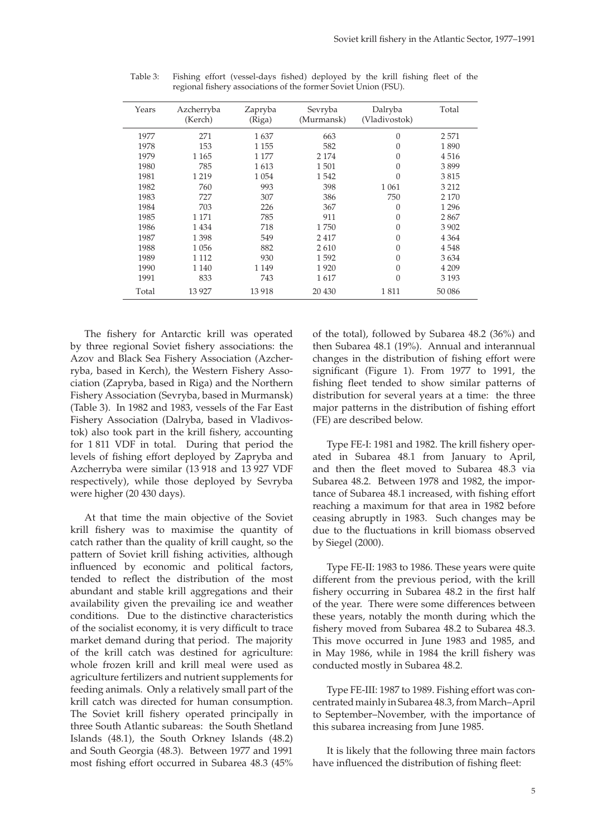| Years | Azcherryba<br>(Kerch) | Zapryba<br>(Riga) | Sevryba<br>(Murmansk) | Dalryba<br>(Vladivostok) | Total   |
|-------|-----------------------|-------------------|-----------------------|--------------------------|---------|
| 1977  | 271                   | 1637              | 663                   | 0                        | 2571    |
| 1978  | 153                   | 1 1 5 5           | 582                   | $\theta$                 | 1890    |
| 1979  | 1 1 6 5               | 1 177             | 2 1 7 4               | $\overline{0}$           | 4516    |
| 1980  | 785                   | 1613              | 1501                  | $\overline{0}$           | 3899    |
| 1981  | 1 2 1 9               | 1 0 5 4           | 1542                  | $\overline{0}$           | 3815    |
| 1982  | 760                   | 993               | 398                   | 1 0 6 1                  | 3 2 1 2 |
| 1983  | 727                   | 307               | 386                   | 750                      | 2 1 7 0 |
| 1984  | 703                   | 226               | 367                   | 0                        | 1 2 9 6 |
| 1985  | 1 1 7 1               | 785               | 911                   | $\overline{0}$           | 2867    |
| 1986  | 1434                  | 718               | 1750                  | 0                        | 3902    |
| 1987  | 1398                  | 549               | 2417                  | $\theta$                 | 4 3 6 4 |
| 1988  | 1056                  | 882               | 2610                  | 0                        | 4548    |
| 1989  | 1 1 1 2               | 930               | 1592                  | 0                        | 3634    |
| 1990  | 1 1 4 0               | 1 1 4 9           | 1920                  | $\overline{0}$           | 4 2 0 9 |
| 1991  | 833                   | 743               | 1617                  | $\overline{0}$           | 3 1 9 3 |
| Total | 13 9 27               | 13918             | 20 430                | 1811                     | 50 086  |
|       |                       |                   |                       |                          |         |

Table 3: Fishing effort (vessel-days fished) deployed by the krill fishing fleet of the regional fishery associations of the former Soviet Union (FSU).

The fishery for Antarctic krill was operated by three regional Soviet fishery associations: the Azov and Black Sea Fishery Association (Azcherryba, based in Kerch), the Western Fishery Association (Zapryba, based in Riga) and the Northern Fishery Association (Sevryba, based in Murmansk) (Table 3). In 1982 and 1983, vessels of the Far East Fishery Association (Dalryba, based in Vladivostok) also took part in the krill fishery, accounting for 1 811 VDF in total. During that period the levels of fishing effort deployed by Zapryba and Azcherryba were similar (13 918 and 13 927 VDF respectively), while those deployed by Sevryba were higher (20 430 days).

At that time the main objective of the Soviet krill fishery was to maximise the quantity of catch rather than the quality of krill caught, so the pattern of Soviet krill fishing activities, although influenced by economic and political factors, tended to reflect the distribution of the most abundant and stable krill aggregations and their availability given the prevailing ice and weather conditions. Due to the distinctive characteristics of the socialist economy, it is very difficult to trace market demand during that period. The majority of the krill catch was destined for agriculture: whole frozen krill and krill meal were used as agriculture fertilizers and nutrient supplements for feeding animals. Only a relatively small part of the krill catch was directed for human consumption. The Soviet krill fishery operated principally in three South Atlantic subareas: the South Shetland Islands (48.1), the South Orkney Islands (48.2) and South Georgia (48.3). Between 1977 and 1991 most fishing effort occurred in Subarea 48.3 (45% of the total), followed by Subarea 48.2 (36%) and then Subarea 48.1 (19%). Annual and interannual changes in the distribution of fishing effort were significant (Figure 1). From 1977 to 1991, the fishing fleet tended to show similar patterns of distribution for several years at a time: the three major patterns in the distribution of fishing effort (FE) are described below.

Type FE-I: 1981 and 1982. The krill fishery operated in Subarea 48.1 from January to April, and then the fleet moved to Subarea 48.3 via Subarea 48.2. Between 1978 and 1982, the importance of Subarea 48.1 increased, with fishing effort reaching a maximum for that area in 1982 before ceasing abruptly in 1983. Such changes may be due to the fluctuations in krill biomass observed by Siegel (2000).

Type FE-II: 1983 to 1986. These years were quite different from the previous period, with the krill fishery occurring in Subarea 48.2 in the first half of the year. There were some differences between these years, notably the month during which the fishery moved from Subarea 48.2 to Subarea 48.3. This move occurred in June 1983 and 1985, and in May 1986, while in 1984 the krill fishery was conducted mostly in Subarea 48.2.

Type FE-III: 1987 to 1989. Fishing effort was concentrated mainly in Subarea 48.3, from March–April to September–November, with the importance of this subarea increasing from June 1985.

It is likely that the following three main factors have influenced the distribution of fishing fleet: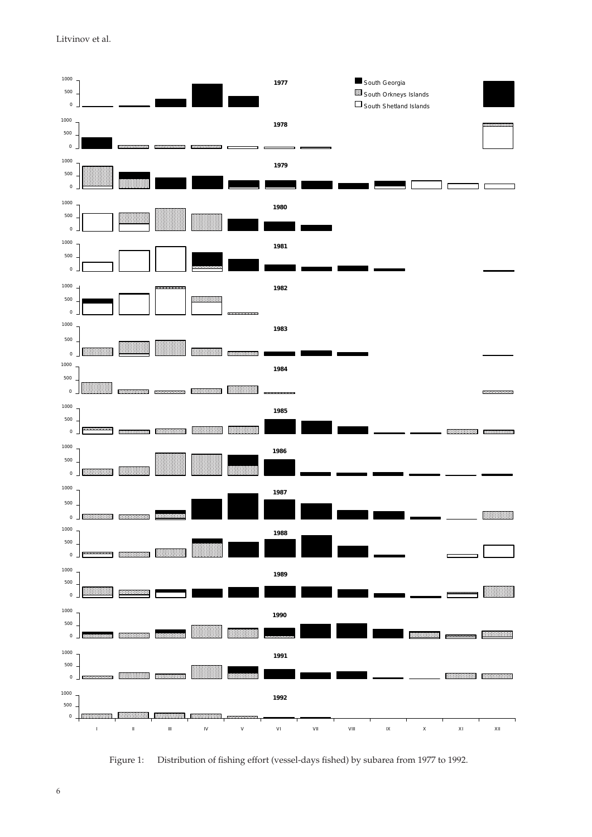Litvinov et al.



Figure 1: Distribution of fishing effort (vessel-days fished) by subarea from 1977 to 1992.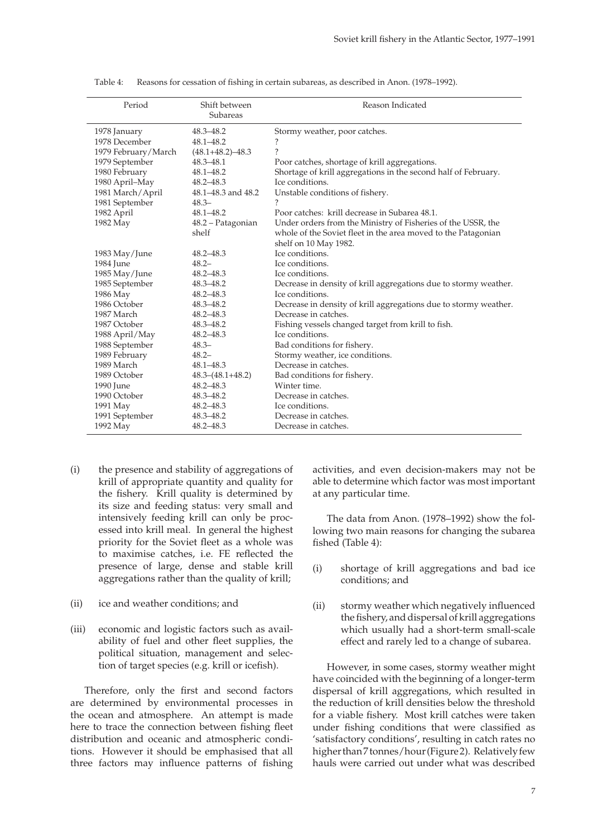| Period              | Shift between<br>Subareas | Reason Indicated                                                 |
|---------------------|---------------------------|------------------------------------------------------------------|
| 1978 January        | 48.3-48.2                 | Stormy weather, poor catches.                                    |
| 1978 December       | $48.1 - 48.2$             | ?                                                                |
| 1979 February/March | $(48.1 + 48.2) - 48.3$    | $\overline{\phantom{a}}$                                         |
| 1979 September      | $48.3 - 48.1$             | Poor catches, shortage of krill aggregations.                    |
| 1980 February       | $48.1 - 48.2$             | Shortage of krill aggregations in the second half of February.   |
| 1980 April-May      | $48.2 - 48.3$             | Ice conditions.                                                  |
| 1981 March/April    | 48.1-48.3 and 48.2        | Unstable conditions of fishery.                                  |
| 1981 September      | $48.3 -$                  |                                                                  |
| 1982 April          | $48.1 - 48.2$             | Poor catches: krill decrease in Subarea 48.1.                    |
| 1982 May            | 48.2 - Patagonian         | Under orders from the Ministry of Fisheries of the USSR, the     |
|                     | shelf                     | whole of the Soviet fleet in the area moved to the Patagonian    |
|                     |                           | shelf on 10 May 1982.                                            |
| 1983 May/June       | 48.2-48.3                 | Ice conditions.                                                  |
| 1984 June           | $48.2 -$                  | Ice conditions.                                                  |
| 1985 May/June       | $48.2 - 48.3$             | Ice conditions.                                                  |
| 1985 September      | $48.3 - 48.2$             | Decrease in density of krill aggregations due to stormy weather. |
| 1986 May            | $48.2 - 48.3$             | Ice conditions.                                                  |
| 1986 October        | 48.3-48.2                 | Decrease in density of krill aggregations due to stormy weather. |
| 1987 March          | $48.2 - 48.3$             | Decrease in catches.                                             |
| 1987 October        | $48.3 - 48.2$             | Fishing vessels changed target from krill to fish.               |
| 1988 April/May      | 48.2-48.3                 | Ice conditions.                                                  |
| 1988 September      | $48.3 -$                  | Bad conditions for fishery.                                      |
| 1989 February       | $48.2 -$                  | Stormy weather, ice conditions.                                  |
| 1989 March          | $48.1 - 48.3$             | Decrease in catches.                                             |
| 1989 October        | $48.3 - (48.1 + 48.2)$    | Bad conditions for fishery.                                      |
| 1990 June           | $48.2 - 48.3$             | Winter time.                                                     |
| 1990 October        | 48.3-48.2                 | Decrease in catches.                                             |
| 1991 May            | $48.2 - 48.3$             | Ice conditions.                                                  |
| 1991 September      | 48.3-48.2                 | Decrease in catches.                                             |
| 1992 May            | $48.2 - 48.3$             | Decrease in catches.                                             |

Table 4: Reasons for cessation of fishing in certain subareas, as described in Anon. (1978–1992).

- (i) the presence and stability of aggregations of krill of appropriate quantity and quality for the fishery. Krill quality is determined by its size and feeding status: very small and intensively feeding krill can only be processed into krill meal. In general the highest priority for the Soviet fleet as a whole was to maximise catches, i.e. FE reflected the presence of large, dense and stable krill aggregations rather than the quality of krill;
- (ii) ice and weather conditions; and
- (iii) economic and logistic factors such as availability of fuel and other fleet supplies, the political situation, management and selection of target species (e.g. krill or icefish).

Therefore, only the first and second factors are determined by environmental processes in the ocean and atmosphere. An attempt is made here to trace the connection between fishing fleet distribution and oceanic and atmospheric conditions. However it should be emphasised that all three factors may influence patterns of fishing activities, and even decision-makers may not be able to determine which factor was most important at any particular time.

The data from Anon. (1978–1992) show the following two main reasons for changing the subarea fished (Table 4):

- (i) shortage of krill aggregations and bad ice conditions; and
- (ii) stormy weather which negatively influenced the fishery, and dispersal of krill aggregations which usually had a short-term small-scale effect and rarely led to a change of subarea.

However, in some cases, stormy weather might have coincided with the beginning of a longer-term dispersal of krill aggregations, which resulted in the reduction of krill densities below the threshold for a viable fishery. Most krill catches were taken under fishing conditions that were classified as 'satisfactory conditions', resulting in catch rates no higher than 7 tonnes/hour (Figure 2). Relatively few hauls were carried out under what was described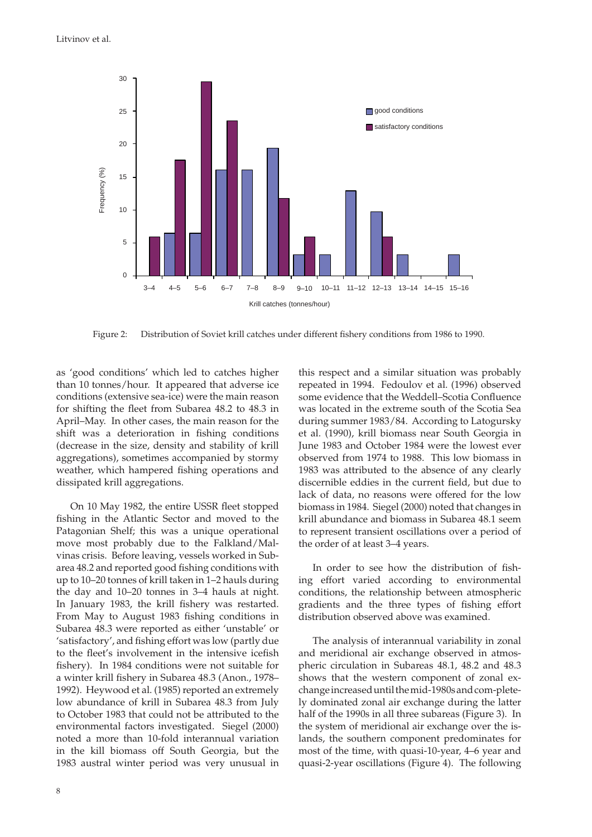

Figure 2: Distribution of Soviet krill catches under different fishery conditions from 1986 to 1990.

as 'good conditions' which led to catches higher than 10 tonnes/hour. It appeared that adverse ice conditions (extensive sea-ice) were the main reason for shifting the fleet from Subarea 48.2 to 48.3 in April–May. In other cases, the main reason for the shift was a deterioration in fishing conditions (decrease in the size, density and stability of krill aggregations), sometimes accompanied by stormy weather, which hampered fishing operations and dissipated krill aggregations.

On 10 May 1982, the entire USSR fleet stopped fishing in the Atlantic Sector and moved to the Patagonian Shelf; this was a unique operational move most probably due to the Falkland/Malvinas crisis. Before leaving, vessels worked in Subarea 48.2 and reported good fishing conditions with up to 10–20 tonnes of krill taken in 1–2 hauls during the day and 10–20 tonnes in 3–4 hauls at night. In January 1983, the krill fishery was restarted. From May to August 1983 fishing conditions in Subarea 48.3 were reported as either 'unstable' or 'satisfactory', and fishing effort was low (partly due to the fleet's involvement in the intensive icefish fishery). In 1984 conditions were not suitable for a winter krill fishery in Subarea 48.3 (Anon., 1978– 1992). Heywood et al. (1985) reported an extremely low abundance of krill in Subarea 48.3 from July to October 1983 that could not be attributed to the environmental factors investigated. Siegel (2000) noted a more than 10-fold interannual variation in the kill biomass off South Georgia, but the 1983 austral winter period was very unusual in

this respect and a similar situation was probably repeated in 1994. Fedoulov et al. (1996) observed some evidence that the Weddell–Scotia Confluence was located in the extreme south of the Scotia Sea during summer 1983/84. According to Latogursky et al. (1990), krill biomass near South Georgia in June 1983 and October 1984 were the lowest ever observed from 1974 to 1988. This low biomass in 1983 was attributed to the absence of any clearly discernible eddies in the current field, but due to lack of data, no reasons were offered for the low biomass in 1984. Siegel (2000) noted that changes in krill abundance and biomass in Subarea 48.1 seem to represent transient oscillations over a period of the order of at least 3–4 years.

In order to see how the distribution of fishing effort varied according to environmental conditions, the relationship between atmospheric gradients and the three types of fishing effort distribution observed above was examined.

The analysis of interannual variability in zonal and meridional air exchange observed in atmospheric circulation in Subareas 48.1, 48.2 and 48.3 shows that the western component of zonal exchange increased until the mid-1980s and com-pletely dominated zonal air exchange during the latter half of the 1990s in all three subareas (Figure 3). In the system of meridional air exchange over the islands, the southern component predominates for most of the time, with quasi-10-year, 4–6 year and quasi-2-year oscillations (Figure 4). The following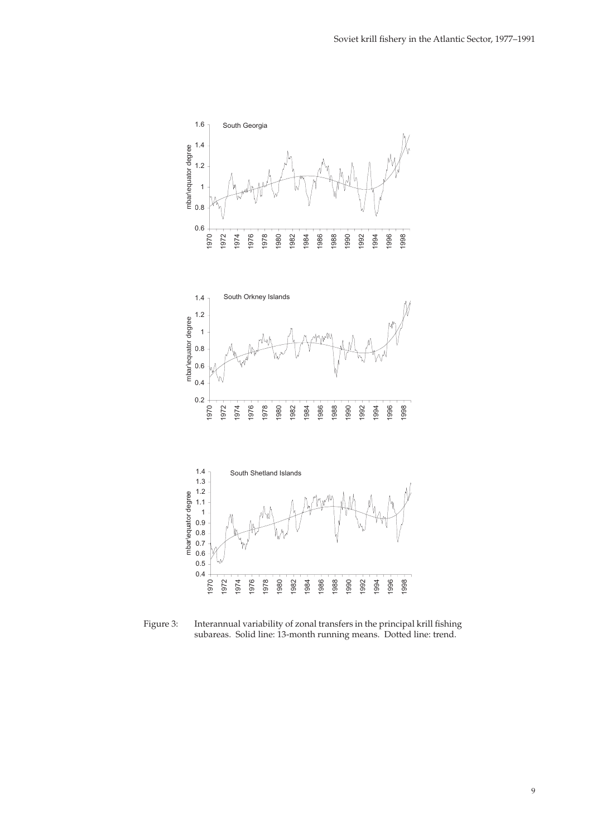

Figure 3: Interannual variability of zonal transfers in the principal krill fishing subareas. Solid line: 13-month running means. Dotted line: trend.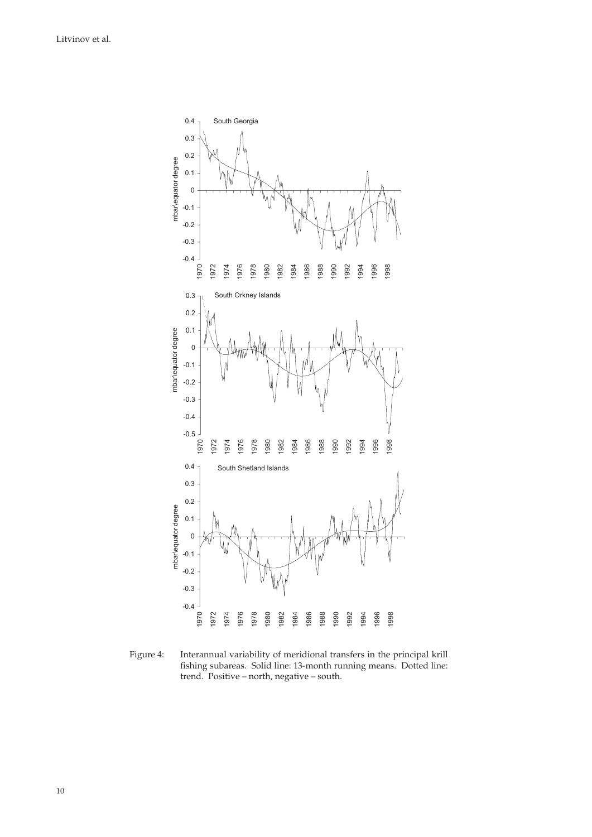

Figure 4: Interannual variability of meridional transfers in the principal krill fishing subareas. Solid line: 13-month running means. Dotted line: trend. Positive – north, negative – south.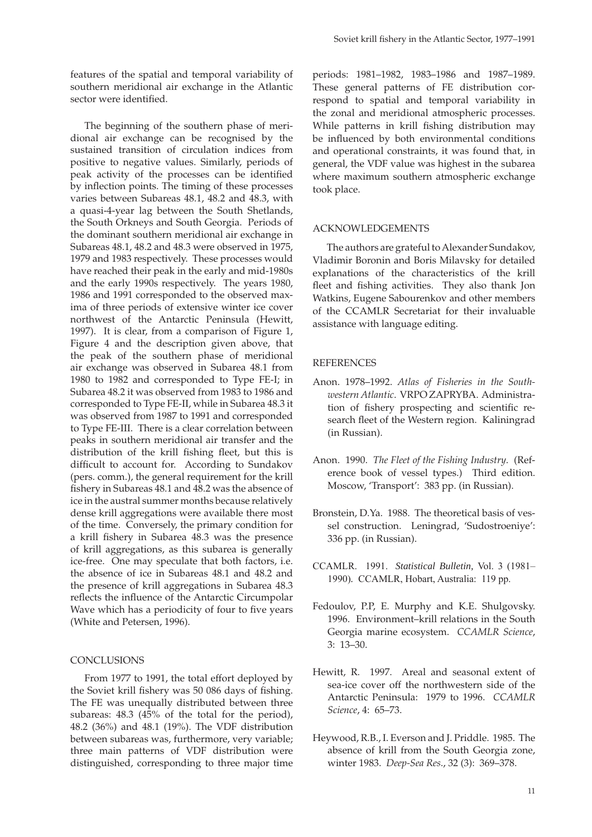features of the spatial and temporal variability of southern meridional air exchange in the Atlantic sector were identified.

The beginning of the southern phase of meridional air exchange can be recognised by the sustained transition of circulation indices from positive to negative values. Similarly, periods of peak activity of the processes can be identified by inflection points. The timing of these processes varies between Subareas 48.1, 48.2 and 48.3, with a quasi-4-year lag between the South Shetlands, the South Orkneys and South Georgia. Periods of the dominant southern meridional air exchange in Subareas 48.1, 48.2 and 48.3 were observed in 1975, 1979 and 1983 respectively. These processes would have reached their peak in the early and mid-1980s and the early 1990s respectively. The years 1980, 1986 and 1991 corresponded to the observed maxima of three periods of extensive winter ice cover northwest of the Antarctic Peninsula (Hewitt, 1997). It is clear, from a comparison of Figure 1, Figure 4 and the description given above, that the peak of the southern phase of meridional air exchange was observed in Subarea 48.1 from 1980 to 1982 and corresponded to Type FE-I; in Subarea 48.2 it was observed from 1983 to 1986 and corresponded to Type FE-II, while in Subarea 48.3 it was observed from 1987 to 1991 and corresponded to Type FE-III. There is a clear correlation between peaks in southern meridional air transfer and the distribution of the krill fishing fleet, but this is difficult to account for. According to Sundakov (pers. comm.), the general requirement for the krill fishery in Subareas 48.1 and 48.2 was the absence of ice in the austral summer months because relatively dense krill aggregations were available there most of the time. Conversely, the primary condition for a krill fishery in Subarea 48.3 was the presence of krill aggregations, as this subarea is generally ice-free. One may speculate that both factors, i.e. the absence of ice in Subareas 48.1 and 48.2 and the presence of krill aggregations in Subarea 48.3 reflects the influence of the Antarctic Circumpolar Wave which has a periodicity of four to five years (White and Petersen, 1996).

## **CONCLUSIONS**

From 1977 to 1991, the total effort deployed by the Soviet krill fishery was 50 086 days of fishing. The FE was unequally distributed between three subareas: 48.3 (45% of the total for the period), 48.2 (36%) and 48.1 (19%). The VDF distribution between subareas was, furthermore, very variable; three main patterns of VDF distribution were distinguished, corresponding to three major time periods: 1981–1982, 1983–1986 and 1987–1989. These general patterns of FE distribution correspond to spatial and temporal variability in the zonal and meridional atmospheric processes. While patterns in krill fishing distribution may be influenced by both environmental conditions and operational constraints, it was found that, in general, the VDF value was highest in the subarea where maximum southern atmospheric exchange took place.

## ACKNOWLEDGEMENTS

The authors are grateful to Alexander Sundakov, Vladimir Boronin and Boris Milavsky for detailed explanations of the characteristics of the krill fleet and fishing activities. They also thank Jon Watkins, Eugene Sabourenkov and other members of the CCAMLR Secretariat for their invaluable assistance with language editing.

### **REFERENCES**

- Anon. 1978–1992. *Atlas of Fisheries in the Southwestern Atlantic.* VRPO ZAPRYBA. Administration of fishery prospecting and scientific research fleet of the Western region. Kaliningrad (in Russian).
- Anon. 1990. *The Fleet of the Fishing Industry*. (Reference book of vessel types.) Third edition. Moscow, 'Transport': 383 pp. (in Russian).
- Bronstein, D.Ya. 1988. The theoretical basis of vessel construction. Leningrad, 'Sudostroeniye': 336 pp. (in Russian).
- CCAMLR. 1991. *Statistical Bulletin,* Vol. 3 (1981– 1990)*.* CCAMLR, Hobart, Australia: 119 pp.
- Fedoulov, P.P, E. Murphy and K.E. Shulgovsky. 1996. Environment–krill relations in the South Georgia marine ecosystem. *CCAMLR Science*, 3: 13–30.
- Hewitt, R. 1997. Areal and seasonal extent of sea-ice cover off the northwestern side of the Antarctic Peninsula: 1979 to 1996. *CCAMLR Science*, 4: 65–73.
- Heywood, R.B., I. Everson and J. Priddle. 1985. The absence of krill from the South Georgia zone, winter 1983. *Deep-Sea Res*., 32 (3): 369–378.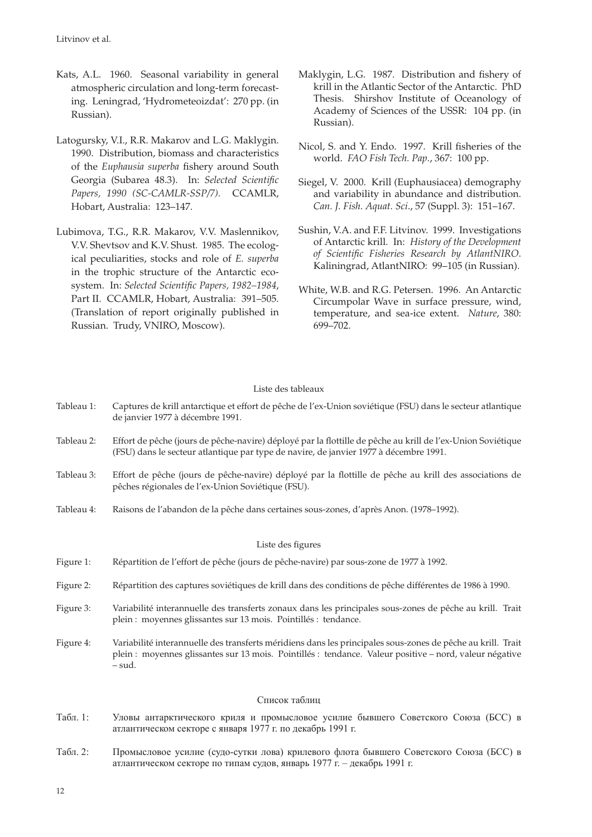- Kats, A.L. 1960. Seasonal variability in general atmospheric circulation and long-term forecasting. Leningrad, 'Hydrometeoizdat': 270 pp. (in Russian).
- Latogursky, V.I., R.R. Makarov and L.G. Maklygin. 1990. Distribution, biomass and characteristics of the *Euphausia superba* fishery around South Georgia (Subarea 48.3). In: Selected Scientific *Papers, 1990 (SC-CAMLR-SSP/7).* CCAMLR, Hobart, Australia: 123–147.
- Lubimova, T.G., R.R. Makarov, V.V. Maslennikov, V.V. Shevtsov and K.V. Shust. 1985. The ecological peculiarities, stocks and role of *E. superba* in the trophic structure of the Antarctic ecosystem. In: Selected Scientific Papers, 1982-1984, Part II. CCAMLR, Hobart, Australia: 391–505. (Translation of report originally published in Russian. Trudy, VNIRO, Moscow).
- Maklygin, L.G. 1987. Distribution and fishery of krill in the Atlantic Sector of the Antarctic. PhD Thesis. Shirshov Institute of Oceanology of Academy of Sciences of the USSR: 104 pp. (in Russian).
- Nicol, S. and Y. Endo. 1997. Krill fisheries of the world. *FAO Fish Tech. Pap.*, 367: 100 pp.
- Siegel, V. 2000. Krill (Euphausiacea) demography and variability in abundance and distribution. *Can. J. Fish. Aquat. Sci*., 57 (Suppl. 3): 151–167.
- Sushin, V.A. and F.F. Litvinov. 1999. Investigations of Antarctic krill. In: *History of the Development*  of Scientific Fisheries Research by AtlantNIRO. Kaliningrad, AtlantNIRO: 99–105 (in Russian).
- White, W.B. and R.G. Petersen. 1996. An Antarctic Circumpolar Wave in surface pressure, wind, temperature, and sea-ice extent. *Nature*, 380: 699–702.

# Liste des tableaux

| Tableau 1:        | Captures de krill antarctique et effort de pêche de l'ex-Union soviétique (FSU) dans le secteur atlantique<br>de janvier 1977 à décembre 1991.                                                                                   |
|-------------------|----------------------------------------------------------------------------------------------------------------------------------------------------------------------------------------------------------------------------------|
| Tableau 2:        | Effort de pêche (jours de pêche-navire) déployé par la flottille de pêche au krill de l'ex-Union Soviétique<br>(FSU) dans le secteur atlantique par type de navire, de janvier 1977 à décembre 1991.                             |
| Tableau 3:        | Effort de pêche (jours de pêche-navire) déployé par la flottille de pêche au krill des associations de<br>pêches régionales de l'ex-Union Soviétique (FSU).                                                                      |
| Tableau 4:        | Raisons de l'abandon de la pêche dans certaines sous-zones, d'après Anon. (1978–1992).                                                                                                                                           |
|                   |                                                                                                                                                                                                                                  |
|                   | Liste des figures                                                                                                                                                                                                                |
| Figure 1:         | Répartition de l'effort de pêche (jours de pêche-navire) par sous-zone de 1977 à 1992.                                                                                                                                           |
| Figure 2:         | Répartition des captures soviétiques de krill dans des conditions de pêche différentes de 1986 à 1990.                                                                                                                           |
| Figure 3:         | Variabilité interannuelle des transferts zonaux dans les principales sous-zones de pêche au krill. Trait<br>plein : moyennes glissantes sur 13 mois. Pointillés : tendance.                                                      |
| Figure 4:         | Variabilité interannuelle des transferts méridiens dans les principales sous-zones de pêche au krill. Trait<br>plein : moyennes glissantes sur 13 mois. Pointillés : tendance. Valeur positive - nord, valeur négative<br>- sud. |
|                   | Список таблиц                                                                                                                                                                                                                    |
| $Ta\bar{b}\pi$ 1. | Уловы антарктического криля и промысловое усилие бывшего Советского Союза (БСС) в                                                                                                                                                |

- Табл. 1: Уловы антарктического криля и промысловое усилие бывшего Советского Союза (БСС) в атлантическом секторе с января 1977 г. по декабрь 1991 г.
- Табл. 2: Промысловое усилие (судо-сутки лова) крилевого флота бывшего Советского Союза (БСС) в атлантическом секторе по типам судов, январь 1977 г. – декабрь 1991 г.